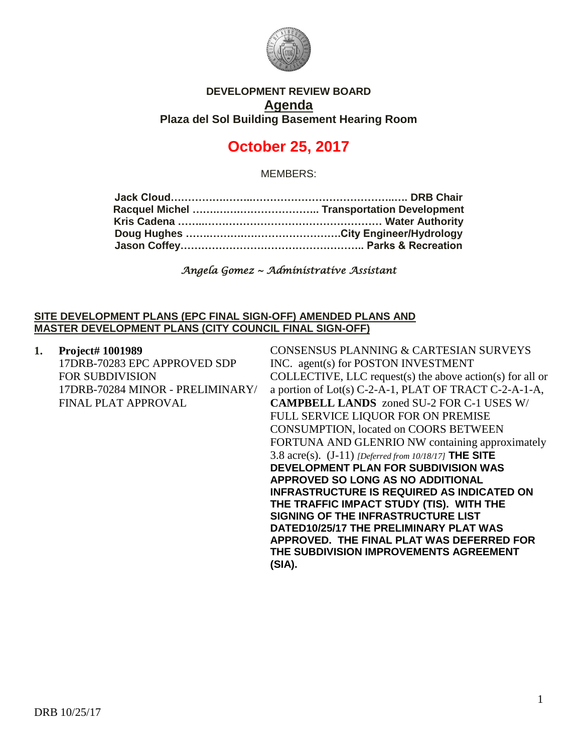

## **DEVELOPMENT REVIEW BOARD Agenda Plaza del Sol Building Basement Hearing Room**

# **October 25, 2017**

MEMBERS:

*Angela Gomez ~ Administrative Assistant* 

#### **SITE DEVELOPMENT PLANS (EPC FINAL SIGN-OFF) AMENDED PLANS AND MASTER DEVELOPMENT PLANS (CITY COUNCIL FINAL SIGN-OFF)**

| 1. | Project# 1001989                 | CONSENSUS PLANNING & CARTESIAN SURVEYS                    |
|----|----------------------------------|-----------------------------------------------------------|
|    | 17DRB-70283 EPC APPROVED SDP     | INC. agent(s) for POSTON INVESTMENT                       |
|    | <b>FOR SUBDIVISION</b>           | COLLECTIVE, LLC request(s) the above action(s) for all or |
|    | 17DRB-70284 MINOR - PRELIMINARY/ | a portion of Lot(s) C-2-A-1, PLAT OF TRACT C-2-A-1-A,     |
|    | <b>FINAL PLAT APPROVAL</b>       | <b>CAMPBELL LANDS</b> zoned SU-2 FOR C-1 USES W/          |
|    |                                  | FULL SERVICE LIQUOR FOR ON PREMISE                        |
|    |                                  | <b>CONSUMPTION, located on COORS BETWEEN</b>              |
|    |                                  | FORTUNA AND GLENRIO NW containing approximately           |
|    |                                  | 3.8 acre(s). $(J-11)$ [Deferred from 10/18/17] THE SITE   |
|    |                                  | <b>DEVELOPMENT PLAN FOR SUBDIVISION WAS</b>               |
|    |                                  | <b>APPROVED SO LONG AS NO ADDITIONAL</b>                  |
|    |                                  | <b>INFRASTRUCTURE IS REQUIRED AS INDICATED ON</b>         |
|    |                                  | THE TRAFFIC IMPACT STUDY (TIS). WITH THE                  |
|    |                                  | <b>SIGNING OF THE INFRASTRUCTURE LIST</b>                 |
|    |                                  | DATED10/25/17 THE PRELIMINARY PLAT WAS                    |
|    |                                  | APPROVED. THE FINAL PLAT WAS DEFERRED FOR                 |
|    |                                  | THE SUBDIVISION IMPROVEMENTS AGREEMENT<br>(SIA).          |
|    |                                  |                                                           |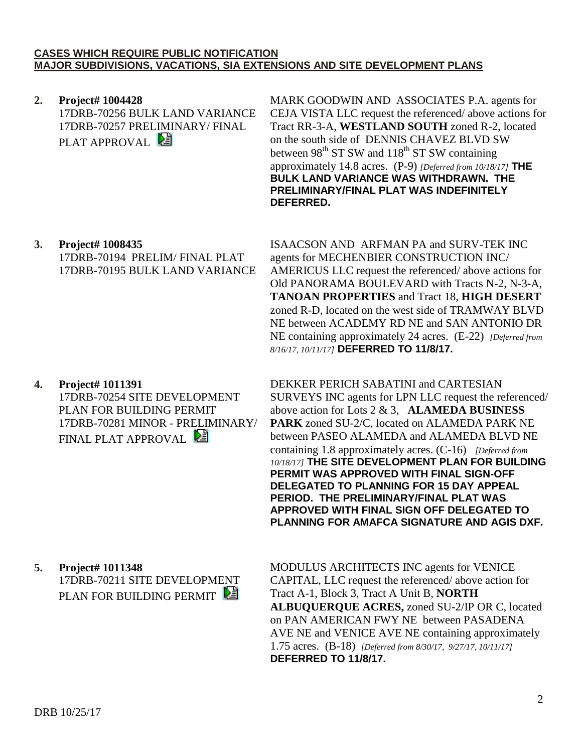#### **CASES WHICH REQUIRE PUBLIC NOTIFICATION MAJOR SUBDIVISIONS, VACATIONS, SIA EXTENSIONS AND SITE DEVELOPMENT PLANS**

**2. Project# 1004428** 17DRB-70256 BULK LAND VARIANCE 17DRB-70257 PRELIMINARY/ FINAL PLAT APPROVAL **E** 

MARK GOODWIN AND ASSOCIATES P.A. agents for CEJA VISTA LLC request the referenced/ above actions for Tract RR-3-A, **WESTLAND SOUTH** zoned R-2, located on the south side of DENNIS CHAVEZ BLVD SW between  $98<sup>th</sup> ST SW$  and  $118<sup>th</sup> ST SW$  containing approximately 14.8 acres. (P-9) *[Deferred from 10/18/17]* **THE BULK LAND VARIANCE WAS WITHDRAWN. THE PRELIMINARY/FINAL PLAT WAS INDEFINITELY DEFERRED.**

**3. Project# 1008435** 17DRB-70194 PRELIM/ FINAL PLAT 17DRB-70195 BULK LAND VARIANCE

ISAACSON AND ARFMAN PA and SURV-TEK INC agents for MECHENBIER CONSTRUCTION INC/ AMERICUS LLC request the referenced/ above actions for Old PANORAMA BOULEVARD with Tracts N-2, N-3-A, **TANOAN PROPERTIES** and Tract 18, **HIGH DESERT** zoned R-D, located on the west side of TRAMWAY BLVD NE between ACADEMY RD NE and SAN ANTONIO DR NE containing approximately 24 acres. (E-22) *[Deferred from 8/16/17, 10/11/17]* **DEFERRED TO 11/8/17.**

**4. Project# 1011391** 17DRB-70254 SITE DEVELOPMENT PLAN FOR BUILDING PERMIT 17DRB-70281 MINOR - PRELIMINARY/ FINAL PLAT APPROVAL

DEKKER PERICH SABATINI and CARTESIAN SURVEYS INC agents for LPN LLC request the referenced/ above action for Lots 2 & 3, **ALAMEDA BUSINESS PARK** zoned SU-2/C, located on ALAMEDA PARK NE between PASEO ALAMEDA and ALAMEDA BLVD NE containing 1.8 approximately acres. (C-16) *[Deferred from 10/18/17]* **THE SITE DEVELOPMENT PLAN FOR BUILDING PERMIT WAS APPROVED WITH FINAL SIGN-OFF DELEGATED TO PLANNING FOR 15 DAY APPEAL PERIOD. THE PRELIMINARY/FINAL PLAT WAS APPROVED WITH FINAL SIGN OFF DELEGATED TO PLANNING FOR AMAFCA SIGNATURE AND AGIS DXF.**

**5. Project# 1011348** 17DRB-70211 SITE DEVELOPMENT PLAN FOR BUILDING PERMIT

MODULUS ARCHITECTS INC agents for VENICE CAPITAL, LLC request the referenced/ above action for Tract A-1, Block 3, Tract A Unit B, **NORTH ALBUQUERQUE ACRES,** zoned SU-2/IP OR C, located on PAN AMERICAN FWY NE between PASADENA AVE NE and VENICE AVE NE containing approximately 1.75 acres. (B-18) *[Deferred from 8/30/17, 9/27/17, 10/11/17]* **DEFERRED TO 11/8/17.**